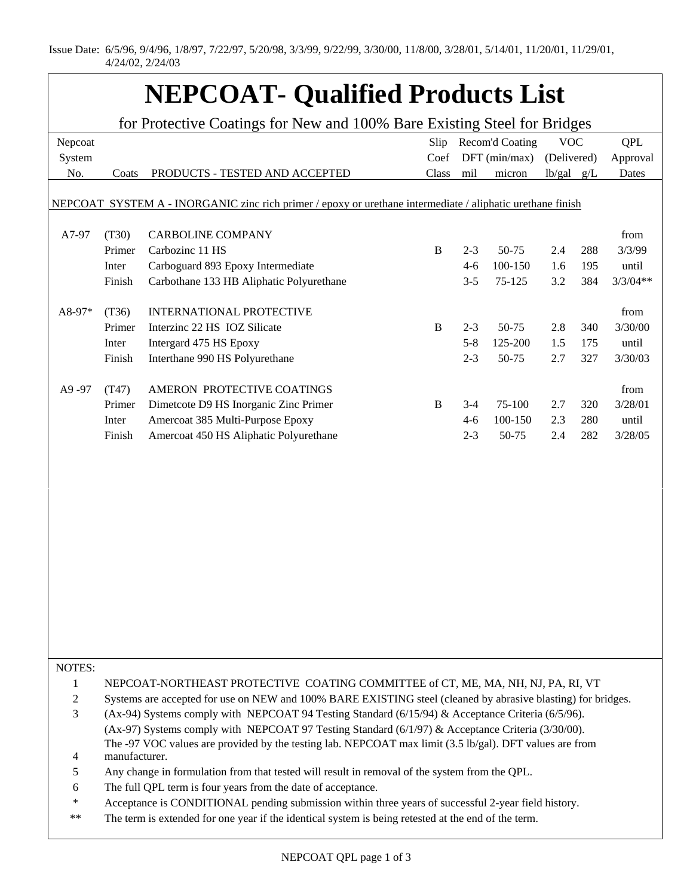Issue Date: 6/5/96, 9/4/96, 1/8/97, 7/22/97, 5/20/98, 3/3/99, 9/22/99, 3/30/00, 11/8/00, 3/28/01, 5/14/01, 11/20/01, 11/29/01, 4/24/02, 2/24/03

## **NEPCOAT- Qualified Products List**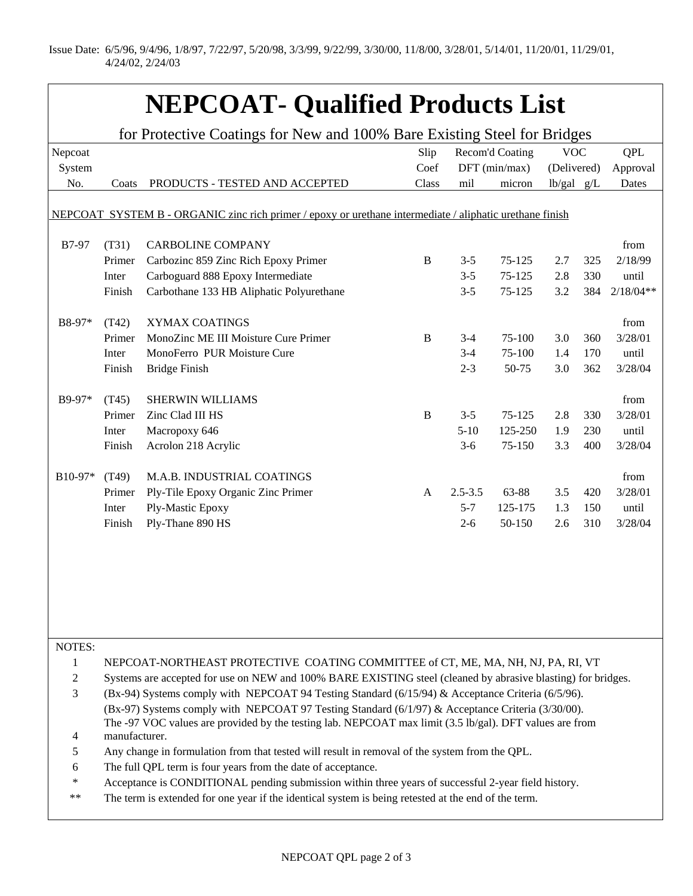Issue Date: 6/5/96, 9/4/96, 1/8/97, 7/22/97, 5/20/98, 3/3/99, 9/22/99, 3/30/00, 11/8/00, 3/28/01, 5/14/01, 11/20/01, 11/29/01, 4/24/02, 2/24/03

## **NEPCOAT- Qualified Products List**

| for Protective Coatings for New and 100% Bare Existing Steel for Bridges                                 |                                                                                                              |                                                                                                         |              |                 |         |                |     |             |  |  |  |  |  |
|----------------------------------------------------------------------------------------------------------|--------------------------------------------------------------------------------------------------------------|---------------------------------------------------------------------------------------------------------|--------------|-----------------|---------|----------------|-----|-------------|--|--|--|--|--|
| Nepcoat                                                                                                  |                                                                                                              |                                                                                                         | Slip         | Recom'd Coating |         | <b>VOC</b>     |     | <b>QPL</b>  |  |  |  |  |  |
| System                                                                                                   |                                                                                                              |                                                                                                         | Coef         | DFT (min/max)   |         | (Delivered)    |     | Approval    |  |  |  |  |  |
| No.                                                                                                      | Coats                                                                                                        | PRODUCTS - TESTED AND ACCEPTED                                                                          | Class        | mil             | micron  | $lb/gal$ $g/L$ |     | Dates       |  |  |  |  |  |
|                                                                                                          |                                                                                                              |                                                                                                         |              |                 |         |                |     |             |  |  |  |  |  |
| NEPCOAT SYSTEM B - ORGANIC zinc rich primer / epoxy or urethane intermediate / aliphatic urethane finish |                                                                                                              |                                                                                                         |              |                 |         |                |     |             |  |  |  |  |  |
|                                                                                                          |                                                                                                              |                                                                                                         |              |                 |         |                |     |             |  |  |  |  |  |
| <b>B7-97</b>                                                                                             | (T31)                                                                                                        | <b>CARBOLINE COMPANY</b>                                                                                |              |                 |         |                |     | from        |  |  |  |  |  |
|                                                                                                          | Primer                                                                                                       | Carbozinc 859 Zinc Rich Epoxy Primer                                                                    | $\bf{B}$     | $3 - 5$         | 75-125  | 2.7            | 325 | 2/18/99     |  |  |  |  |  |
|                                                                                                          | Inter                                                                                                        | Carboguard 888 Epoxy Intermediate                                                                       |              | $3 - 5$         | 75-125  | 2.8            | 330 | until       |  |  |  |  |  |
|                                                                                                          | Finish                                                                                                       | Carbothane 133 HB Aliphatic Polyurethane                                                                |              | $3 - 5$         | 75-125  | 3.2            | 384 | $2/18/04**$ |  |  |  |  |  |
|                                                                                                          |                                                                                                              |                                                                                                         |              |                 |         |                |     |             |  |  |  |  |  |
| B8-97*                                                                                                   | (T42)                                                                                                        | XYMAX COATINGS                                                                                          |              |                 |         |                |     | from        |  |  |  |  |  |
|                                                                                                          | Primer                                                                                                       | MonoZinc ME III Moisture Cure Primer                                                                    | $\, {\bf B}$ | $3 - 4$         | 75-100  | 3.0            | 360 | 3/28/01     |  |  |  |  |  |
|                                                                                                          | Inter                                                                                                        | MonoFerro PUR Moisture Cure                                                                             |              | $3 - 4$         | 75-100  | 1.4            | 170 | until       |  |  |  |  |  |
|                                                                                                          | Finish                                                                                                       | <b>Bridge Finish</b>                                                                                    |              | $2 - 3$         | 50-75   | 3.0            | 362 | 3/28/04     |  |  |  |  |  |
|                                                                                                          |                                                                                                              |                                                                                                         |              |                 |         |                |     |             |  |  |  |  |  |
| B9-97*                                                                                                   | (T45)                                                                                                        | <b>SHERWIN WILLIAMS</b>                                                                                 |              |                 |         |                |     | from        |  |  |  |  |  |
|                                                                                                          | Primer                                                                                                       | Zinc Clad III HS                                                                                        | $\bf{B}$     | $3 - 5$         | 75-125  | 2.8            | 330 | 3/28/01     |  |  |  |  |  |
|                                                                                                          | Inter                                                                                                        | Macropoxy 646                                                                                           |              | $5-10$          | 125-250 | 1.9            | 230 | until       |  |  |  |  |  |
|                                                                                                          | Finish                                                                                                       | Acrolon 218 Acrylic                                                                                     |              | $3-6$           | 75-150  | 3.3            | 400 | 3/28/04     |  |  |  |  |  |
|                                                                                                          |                                                                                                              |                                                                                                         |              |                 |         |                |     |             |  |  |  |  |  |
| B10-97*                                                                                                  | (T49)                                                                                                        | M.A.B. INDUSTRIAL COATINGS                                                                              |              |                 |         |                |     | from        |  |  |  |  |  |
|                                                                                                          | Primer                                                                                                       | Ply-Tile Epoxy Organic Zinc Primer                                                                      | $\mathbf{A}$ | $2.5 - 3.5$     | 63-88   | 3.5            | 420 | 3/28/01     |  |  |  |  |  |
|                                                                                                          | Inter                                                                                                        | Ply-Mastic Epoxy                                                                                        |              | $5 - 7$         | 125-175 | 1.3            | 150 | until       |  |  |  |  |  |
|                                                                                                          | Finish                                                                                                       | Ply-Thane 890 HS                                                                                        |              | $2 - 6$         | 50-150  | 2.6            | 310 | 3/28/04     |  |  |  |  |  |
|                                                                                                          |                                                                                                              |                                                                                                         |              |                 |         |                |     |             |  |  |  |  |  |
|                                                                                                          |                                                                                                              |                                                                                                         |              |                 |         |                |     |             |  |  |  |  |  |
|                                                                                                          |                                                                                                              |                                                                                                         |              |                 |         |                |     |             |  |  |  |  |  |
|                                                                                                          |                                                                                                              |                                                                                                         |              |                 |         |                |     |             |  |  |  |  |  |
|                                                                                                          |                                                                                                              |                                                                                                         |              |                 |         |                |     |             |  |  |  |  |  |
|                                                                                                          |                                                                                                              |                                                                                                         |              |                 |         |                |     |             |  |  |  |  |  |
|                                                                                                          |                                                                                                              |                                                                                                         |              |                 |         |                |     |             |  |  |  |  |  |
| NOTES:                                                                                                   |                                                                                                              |                                                                                                         |              |                 |         |                |     |             |  |  |  |  |  |
| $\mathbf{1}$                                                                                             |                                                                                                              | NEPCOAT-NORTHEAST PROTECTIVE COATING COMMITTEE of CT, ME, MA, NH, NJ, PA, RI, VT                        |              |                 |         |                |     |             |  |  |  |  |  |
| $\mathbf{2}$                                                                                             | Systems are accepted for use on NEW and 100% BARE EXISTING steel (cleaned by abrasive blasting) for bridges. |                                                                                                         |              |                 |         |                |     |             |  |  |  |  |  |
| 3                                                                                                        |                                                                                                              | (Bx-94) Systems comply with NEPCOAT 94 Testing Standard (6/15/94) & Acceptance Criteria (6/5/96).       |              |                 |         |                |     |             |  |  |  |  |  |
|                                                                                                          |                                                                                                              | (Bx-97) Systems comply with NEPCOAT 97 Testing Standard (6/1/97) & Acceptance Criteria (3/30/00).       |              |                 |         |                |     |             |  |  |  |  |  |
|                                                                                                          |                                                                                                              | The -97 VOC values are provided by the testing lab. NEPCOAT max limit (3.5 lb/gal). DFT values are from |              |                 |         |                |     |             |  |  |  |  |  |
| 4                                                                                                        | manufacturer.                                                                                                |                                                                                                         |              |                 |         |                |     |             |  |  |  |  |  |
| 5                                                                                                        | Any change in formulation from that tested will result in removal of the system from the QPL.                |                                                                                                         |              |                 |         |                |     |             |  |  |  |  |  |
| 6                                                                                                        | The full QPL term is four years from the date of acceptance.                                                 |                                                                                                         |              |                 |         |                |     |             |  |  |  |  |  |
| $\ast$                                                                                                   | Acceptance is CONDITIONAL pending submission within three years of successful 2-year field history.          |                                                                                                         |              |                 |         |                |     |             |  |  |  |  |  |